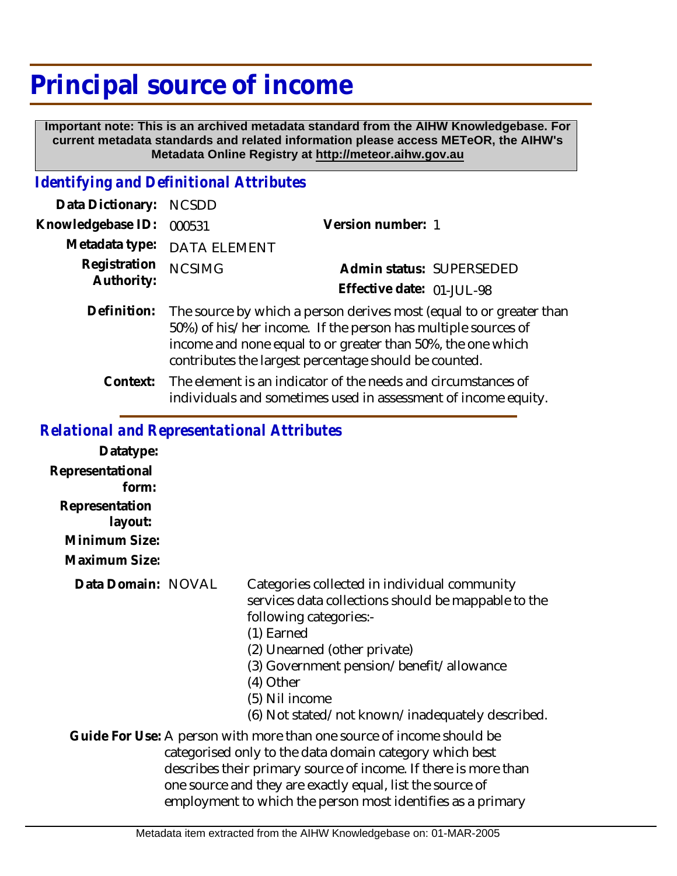## **Principal source of income**

 **Important note: This is an archived metadata standard from the AIHW Knowledgebase. For current metadata standards and related information please access METeOR, the AIHW's Metadata Online Registry at http://meteor.aihw.gov.au**

## *Identifying and Definitional Attributes*

| Data Dictionary: NCSDD     |                                                                                                                                                                                                                                                              |                           |                          |
|----------------------------|--------------------------------------------------------------------------------------------------------------------------------------------------------------------------------------------------------------------------------------------------------------|---------------------------|--------------------------|
| Knowledgebase ID:          | 000531                                                                                                                                                                                                                                                       | Version number: 1         |                          |
| Metadata type:             | <b>DATA ELEMENT</b>                                                                                                                                                                                                                                          |                           |                          |
| Registration<br>Authority: | <b>NCSIMG</b>                                                                                                                                                                                                                                                |                           | Admin status: SUPERSEDED |
|                            |                                                                                                                                                                                                                                                              | Effective date: 01-JUL-98 |                          |
| Definition:                | The source by which a person derives most (equal to or greater than<br>50%) of his/her income. If the person has multiple sources of<br>income and none equal to or greater than 50%, the one which<br>contributes the largest percentage should be counted. |                           |                          |

The element is an indicator of the needs and circumstances of individuals and sometimes used in assessment of income equity. **Context:**

## *Relational and Representational Attributes*

| Datatype:<br>Representational<br>form:<br>Representation<br>layout:<br>Minimum Size: |                                                                                                                                                                                                                                                                                                                                 |
|--------------------------------------------------------------------------------------|---------------------------------------------------------------------------------------------------------------------------------------------------------------------------------------------------------------------------------------------------------------------------------------------------------------------------------|
| Maximum Size:                                                                        |                                                                                                                                                                                                                                                                                                                                 |
| Data Domain: NOVAL                                                                   | Categories collected in individual community<br>services data collections should be mappable to the<br>following categories:-<br>$(1)$ Earned<br>(2) Unearned (other private)<br>(3) Government pension/benefit/allowance<br>(4) Other<br>(5) Nil income<br>(6) Not stated/not known/inadequately described.                    |
|                                                                                      | Guide For Use: A person with more than one source of income should be<br>categorised only to the data domain category which best<br>describes their primary source of income. If there is more than<br>one source and they are exactly equal, list the source of<br>employment to which the person most identifies as a primary |